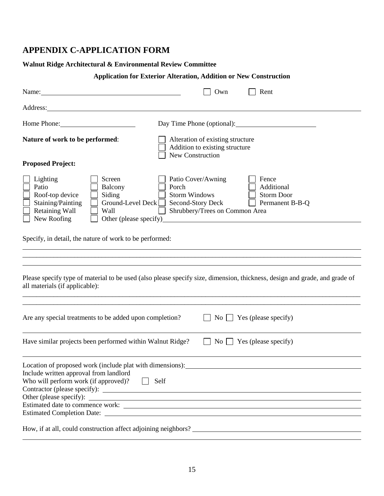# **APPENDIX C-APPLICATION FORM**

## **Walnut Ridge Architectural & Environmental Review Committee**

# **Application for Exterior Alteration, Addition or New Construction**

| Name:                                                                                                                                                        | Own                                                                                                                            | Rent                                                        |
|--------------------------------------------------------------------------------------------------------------------------------------------------------------|--------------------------------------------------------------------------------------------------------------------------------|-------------------------------------------------------------|
|                                                                                                                                                              |                                                                                                                                |                                                             |
| Home Phone:                                                                                                                                                  | Day Time Phone (optional):                                                                                                     |                                                             |
| Nature of work to be performed:                                                                                                                              | Alteration of existing structure<br>Addition to existing structure<br><b>New Construction</b>                                  |                                                             |
| <b>Proposed Project:</b>                                                                                                                                     |                                                                                                                                |                                                             |
| Lighting<br>Screen<br>Patio<br>Balcony<br>Roof-top device<br>Siding<br>Staining/Painting<br>Retaining Wall<br>Wall<br>New Roofing                            | Patio Cover/Awning<br>Porch<br><b>Storm Windows</b><br>Ground-Level Deck □ Second-Story Deck<br>Shrubbery/Trees on Common Area | Fence<br>Additional<br><b>Storm Door</b><br>Permanent B-B-Q |
| Specify, in detail, the nature of work to be performed:                                                                                                      |                                                                                                                                |                                                             |
|                                                                                                                                                              |                                                                                                                                |                                                             |
| Please specify type of material to be used (also please specify size, dimension, thickness, design and grade, and grade of<br>all materials (if applicable): |                                                                                                                                |                                                             |
| Are any special treatments to be added upon completion?                                                                                                      |                                                                                                                                | No $\Box$ Yes (please specify)                              |
| Have similar projects been performed within Walnut Ridge?                                                                                                    |                                                                                                                                | No $\Box$ Yes (please specify)                              |
| Location of proposed work (include plat with dimensions):<br>Include written approval from landlord<br>Who will perform work (if approved)?                  | $\Box$ Self                                                                                                                    |                                                             |
| How, if at all, could construction affect adjoining neighbors?                                                                                               |                                                                                                                                |                                                             |